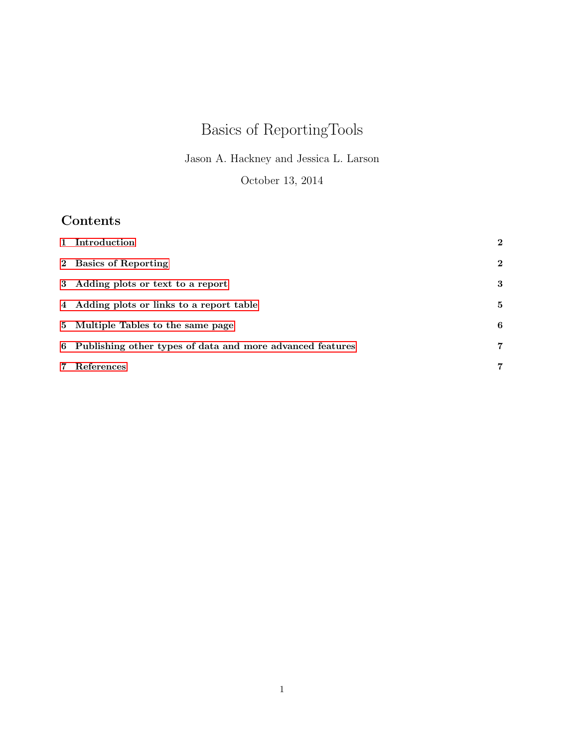# Basics of ReportingTools

Jason A. Hackney and Jessica L. Larson

October 13, 2014

## Contents

| 2 Basics of Reporting<br>3 Adding plots or text to a report<br>4 Adding plots or links to a report table<br>5 Multiple Tables to the same page<br>6 Publishing other types of data and more advanced features<br>References<br>$7^{\circ}$ | 1 Introduction | $\bf{2}$       |
|--------------------------------------------------------------------------------------------------------------------------------------------------------------------------------------------------------------------------------------------|----------------|----------------|
|                                                                                                                                                                                                                                            |                | $\bf{2}$       |
|                                                                                                                                                                                                                                            |                | 3              |
|                                                                                                                                                                                                                                            |                | 5              |
|                                                                                                                                                                                                                                            |                | 6              |
|                                                                                                                                                                                                                                            |                | 7              |
|                                                                                                                                                                                                                                            |                | $\overline{7}$ |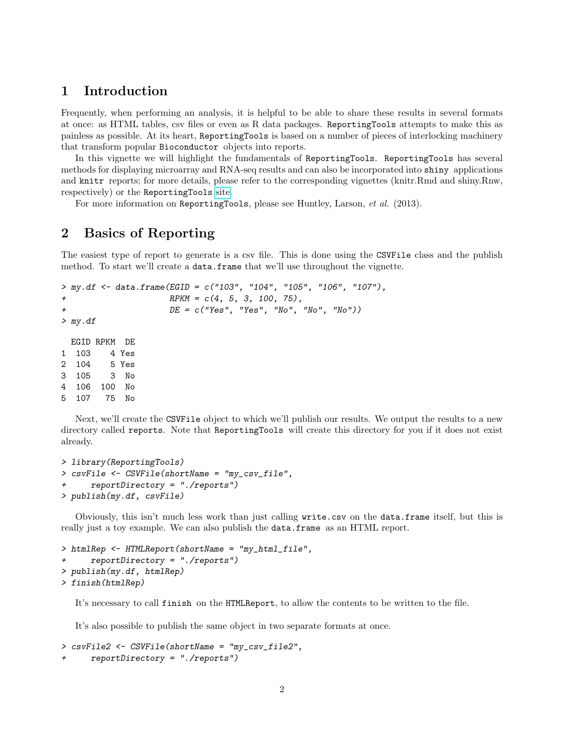### <span id="page-1-0"></span>1 Introduction

Frequently, when performing an analysis, it is helpful to be able to share these results in several formats at once: as HTML tables, csv files or even as R data packages. ReportingTools attempts to make this as painless as possible. At its heart, ReportingTools is based on a number of pieces of interlocking machinery that transform popular Bioconductor objects into reports.

In this vignette we will highlight the fundamentals of ReportingTools. ReportingTools has several methods for displaying microarray and RNA-seq results and can also be incorporated into shiny applications and knitr reports; for more details, please refer to the corresponding vignettes (knitr.Rmd and shiny.Rnw, respectively) or the ReportingTools [site.](http://research-pub.gene.com/ReportingTools)

For more information on ReportingTools, please see Huntley, Larson, et al. (2013).

## <span id="page-1-1"></span>2 Basics of Reporting

The easiest type of report to generate is a csv file. This is done using the CSVFile class and the publish method. To start we'll create a data.frame that we'll use throughout the vignette.

```
> my.df <- data.frame(EGID = c("103", "104", "105", "106", "107"),
+ RPKM = c(4, 5, 3, 100, 75),
+ DE = c("Yes", "Yes", "No", "No", "No"))
> my.df
 EGID RPKM DE
```
1 103 4 Yes 2 104 5 Yes 3 105 3 No 4 106 100 No 5 107 75 No

Next, we'll create the CSVFile object to which we'll publish our results. We output the results to a new directory called reports. Note that ReportingTools will create this directory for you if it does not exist already.

```
> library(ReportingTools)
> csvFile <- CSVFile(shortName = "my_csv_file",
+ reportDirectory = "./reports")
> publish(my.df, csvFile)
```
Obviously, this isn't much less work than just calling write.csv on the data.frame itself, but this is really just a toy example. We can also publish the data.frame as an HTML report.

```
> htmlRep <- HTMLReport(shortName = "my_html_file",
      reportDirectory = "./reports")> publish(my.df, htmlRep)
> finish(htmlRep)
```
It's necessary to call finish on the HTMLReport, to allow the contents to be written to the file.

It's also possible to publish the same object in two separate formats at once.

```
> csvFile2 <- CSVFile(shortName = "my_csv_file2",
      reportDirectory = "./reports")
```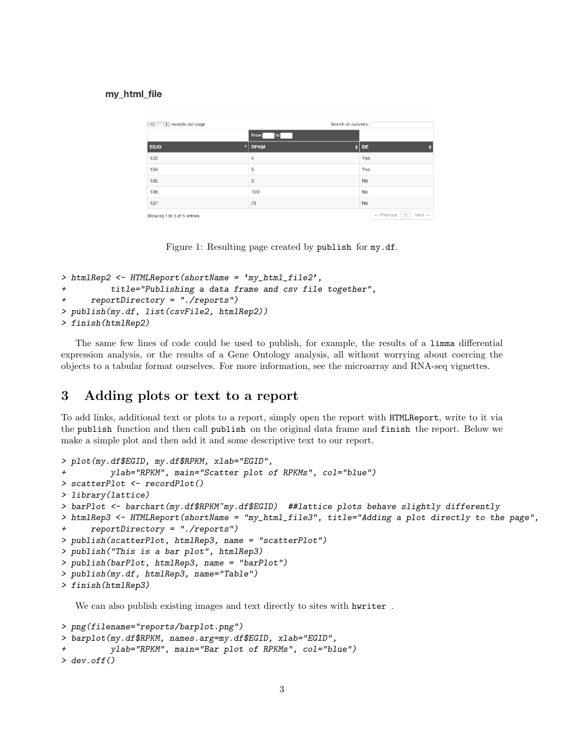#### my\_html\_file

| $\div$ records per page<br>10 |                  | Search all columns: |  |           |                       |                |                    |
|-------------------------------|------------------|---------------------|--|-----------|-----------------------|----------------|--------------------|
|                               |                  | From<br>to          |  |           |                       |                |                    |
| <b>EGID</b>                   | $\blacktriangle$ | RPKM                |  | <b>DE</b> |                       |                |                    |
| 103                           |                  | 4                   |  | Yes       |                       |                |                    |
| 104                           |                  | 5                   |  | Yes       |                       |                |                    |
| 105                           |                  | 3                   |  | <b>No</b> |                       |                |                    |
| 106                           |                  | 100                 |  | No        |                       |                |                    |
| 107                           |                  | 75                  |  | <b>No</b> |                       |                |                    |
| Showing 1 to 5 of 5 entries   |                  |                     |  |           | $\leftarrow$ Previous | $\overline{1}$ | $Next \rightarrow$ |

Figure 1: Resulting page created by publish for my.df.

```
> htmlRep2 <- HTMLReport(shortName = 'my_html_file2',
          title="Publishing a data frame and csv file together",
+ reportDirectory = "./reports")
> publish(my.df, list(csvFile2, htmlRep2))
> finish(htmlRep2)
```
The same few lines of code could be used to publish, for example, the results of a limma differential expression analysis, or the results of a Gene Ontology analysis, all without worrying about coercing the objects to a tabular format ourselves. For more information, see the microarray and RNA-seq vignettes.

## <span id="page-2-0"></span>3 Adding plots or text to a report

To add links, additional text or plots to a report, simply open the report with HTMLReport, write to it via the publish function and then call publish on the original data frame and finish the report. Below we make a simple plot and then add it and some descriptive text to our report.

```
> plot(my.df$EGID, my.df$RPKM, xlab="EGID",
         ylab="RPKM", main="Scatter plot of RPKMs", col="blue")
> scatterPlot <- recordPlot()
> library(lattice)
> barPlot <- barchart(my.df$RPKM~my.df$EGID) ##lattice plots behave slightly differently
> htmlRep3 <- HTMLReport(shortName = "my_html_file3", title="Adding a plot directly to the page",
+ reportDirectory = "./reports")
> publish(scatterPlot, htmlRep3, name = "scatterPlot")
> publish("This is a bar plot", htmlRep3)
> publish(barPlot, htmlRep3, name = "barPlot")
> publish(my.df, htmlRep3, name="Table")
> finish(htmlRep3)
```
We can also publish existing images and text directly to sites with hwriter .

```
> png(filename="reports/barplot.png")
> barplot(my.df$RPKM, names.arg=my.df$EGID, xlab="EGID",
+ ylab="RPKM", main="Bar plot of RPKMs", col="blue")
> dev.off()
```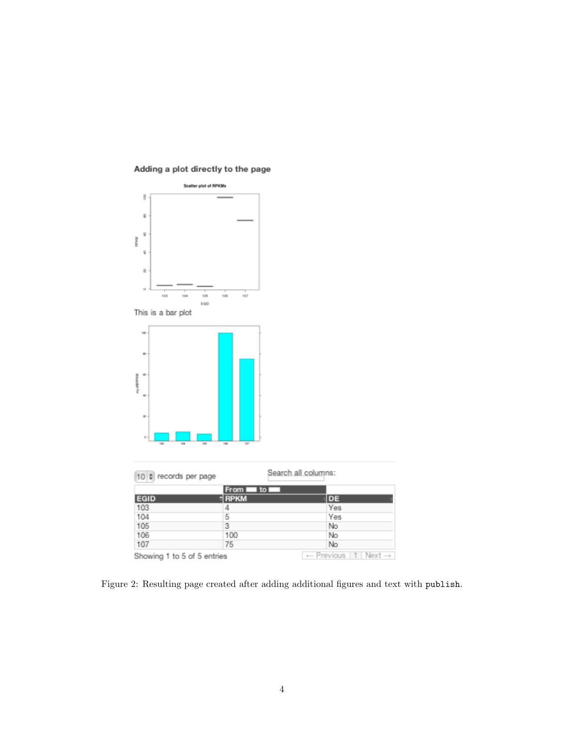

#### Adding a plot directly to the page

Figure 2: Resulting page created after adding additional figures and text with publish.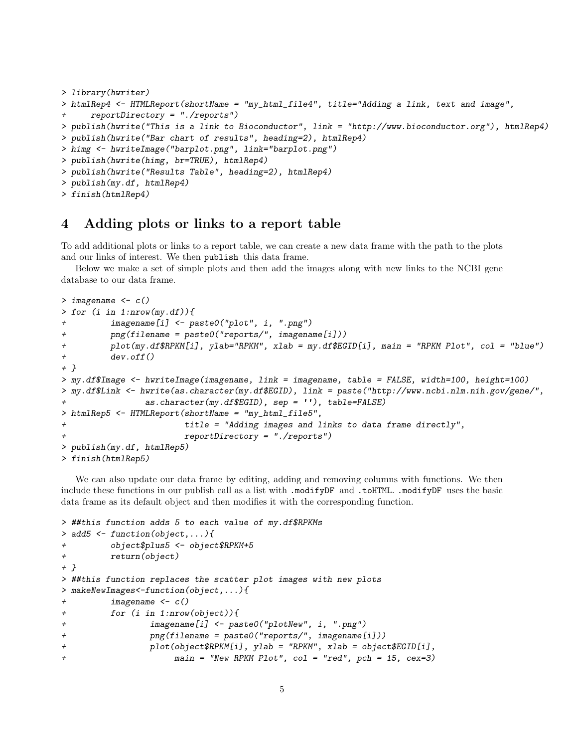```
> library(hwriter)
> htmlRep4 <- HTMLReport(shortName = "my_html_file4", title="Adding a link, text and image",
      reportDirectory = "./reports")> publish(hwrite("This is a link to Bioconductor", link = "http://www.bioconductor.org"), htmlRep4)
> publish(hwrite("Bar chart of results", heading=2), htmlRep4)
> himg <- hwriteImage("barplot.png", link="barplot.png")
> publish(hwrite(himg, br=TRUE), htmlRep4)
> publish(hwrite("Results Table", heading=2), htmlRep4)
> publish(my.df, htmlRep4)
> finish(htmlRep4)
```
### <span id="page-4-0"></span>4 Adding plots or links to a report table

To add additional plots or links to a report table, we can create a new data frame with the path to the plots and our links of interest. We then publish this data frame.

Below we make a set of simple plots and then add the images along with new links to the NCBI gene database to our data frame.

```
> imagename <- c()
> for (i in 1:nrow(my.df)){
+ imagename[i] <- paste0("plot", i, ".png")
+ png(filename = paste0("reports/", imagename[i]))
+ plot(my.df$RPKM[i], ylab="RPKM", xlab = my.df$EGID[i], main = "RPKM Plot", col = "blue")
         dev.off()+ }
> my.df$Image <- hwriteImage(imagename, link = imagename, table = FALSE, width=100, height=100)
> my.df$Link <- hwrite(as.character(my.df$EGID), link = paste("http://www.ncbi.nlm.nih.gov/gene/",
                as.character(my.df$EGID), sep = ''), table=FALSE)
> htmlRep5 <- HTMLReport(shortName = "my_html_file5",
+ title = "Adding images and links to data frame directly",
                       reportDirectory = "./reports")> publish(my.df, htmlRep5)
> finish(htmlRep5)
```
We can also update our data frame by editing, adding and removing columns with functions. We then include these functions in our publish call as a list with .modifyDF and .toHTML. .modifyDF uses the basic data frame as its default object and then modifies it with the corresponding function.

```
> ##this function adds 5 to each value of my.df$RPKMs
> add5 <- function(object,...){
+ object$plus5 <- object$RPKM+5
+ return(object)
+ }
> ##this function replaces the scatter plot images with new plots
> makeNewImages<-function(object,...){
+ imagename <- c()
+ for (i in 1:nrow(object)){
+ imagename[i] <- paste0("plotNew", i, ".png")
+ png(filename = paste0("reports/", imagename[i]))
+ plot(object$RPKM[i], ylab = "RPKM", xlab = object$EGID[i],
+ main = "New RPKM Plot", col = "red", pch = 15, cex=3)
```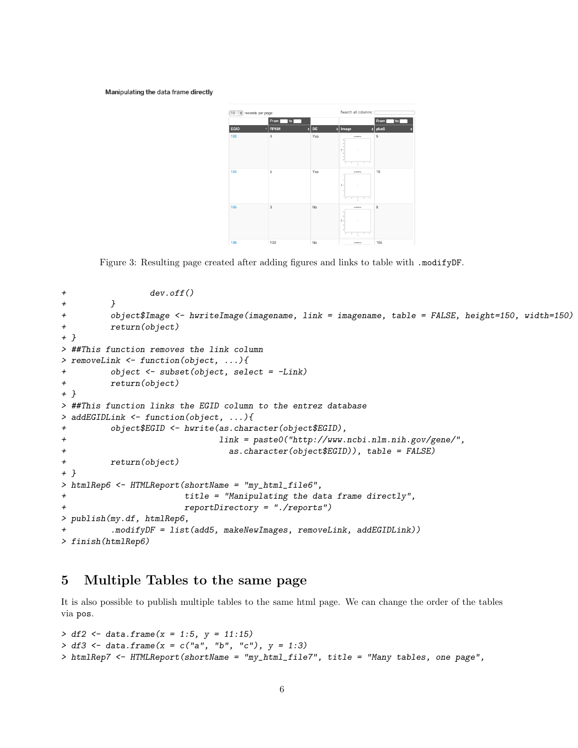Manipulating the data frame directly



Figure 3: Resulting page created after adding figures and links to table with .modifyDF.

```
+ dev.off()
+ }
+ object$Image <- hwriteImage(imagename, link = imagename, table = FALSE, height=150, width=150)
+ return(object)
+ }
> ##This function removes the link column
> removeLink <- function(object, ...){
+ object <- subset(object, select = -Link)
+ return(object)
+ }
> ##This function links the EGID column to the entrez database
> addEGIDLink <- function(object, ...){
+ object$EGID <- hwrite(as.character(object$EGID),
+ link = paste0("http://www.ncbi.nlm.nih.gov/gene/",
+ as.character(object$EGID)), table = FALSE)
+ return(object)
+ }
> htmlRep6 <- HTMLReport(shortName = "my_html_file6",
+ title = "Manipulating the data frame directly",
+ reportDirectory = "./reports")
> publish(my.df, htmlRep6,
        .modifyDF = list(add5, makeNewImages, removeLink, addEGIDLink))
> finish(htmlRep6)
```
## <span id="page-5-0"></span>5 Multiple Tables to the same page

It is also possible to publish multiple tables to the same html page. We can change the order of the tables via pos.

```
> df2 < - data.frame(x = 1:5, y = 11:15)
> df3 <- data.frame(x = c("a", "b", "c"), y = 1:3)> htmlRep7 <- HTMLReport(shortName = "my_html_file7", title = "Many tables, one page",
```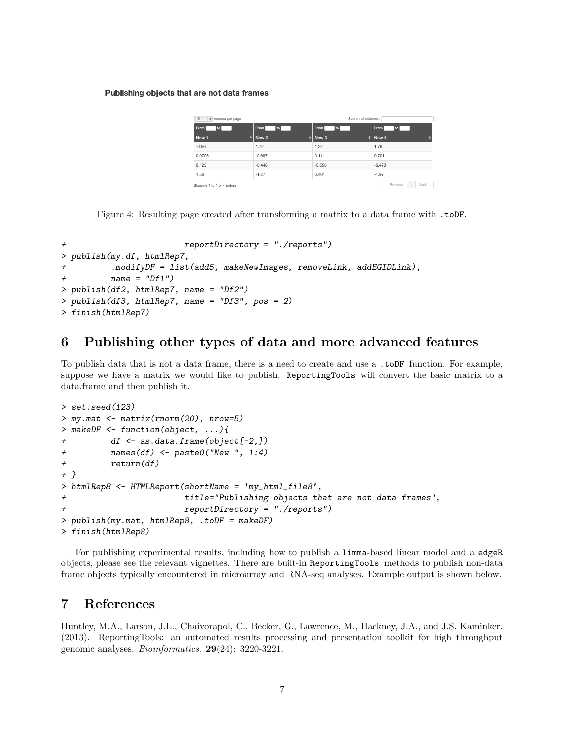Publishing objects that are not data frames

| 10<br># records per page    |          |                  |  | Search all columns: |          |            |            |  |                    |  |
|-----------------------------|----------|------------------|--|---------------------|----------|------------|------------|--|--------------------|--|
| From<br>to                  |          | From<br>l to     |  | From<br>to          |          | From       |            |  |                    |  |
| New 1                       |          | $^{\star}$ New 2 |  | $\parallel$ New 3   |          | $  $ New 4 |            |  |                    |  |
| $-0.56$                     |          | 1.72             |  | 1.22                |          | 1.79       |            |  |                    |  |
| 0.0705                      |          | $-0.687$         |  | 0.111               |          | 0.701      |            |  |                    |  |
| 0.129                       | $-0.446$ | $-0.556$         |  |                     | $-0.473$ |            |            |  |                    |  |
| 1.56                        |          | $-1.27$          |  | 0.401               |          | $-1.97$    |            |  |                    |  |
| Showing 1 to 4 of 4 entries |          |                  |  |                     |          |            | - Previous |  | $Next \rightarrow$ |  |

Figure 4: Resulting page created after transforming a matrix to a data frame with .toDF.

```
+ reportDirectory = "./reports")
> publish(my.df, htmlRep7,
         \text{.modifyDF} = \text{list}(add5, makeNewImages, removeLink, addEGLDLink),+ name = "Df1")
> publish(df2, htmlRep7, name = "Df2")
> publish(df3, htmlRep7, name = "Df3", pos = 2)
> finish(htmlRep7)
```
## <span id="page-6-0"></span>6 Publishing other types of data and more advanced features

To publish data that is not a data frame, there is a need to create and use a .toDF function. For example, suppose we have a matrix we would like to publish. ReportingTools will convert the basic matrix to a data.frame and then publish it.

```
> set.seed(123)
> my.mat <- matrix(rnorm(20), nrow=5)
> makeDF <- function(object, ...){
+ df <- as.data.frame(object[-2,])
+ names(df) <- paste0("New ", 1:4)
+ return(df)
+ }
> htmlRep8 <- HTMLReport(shortName = 'my_html_file8',
+ title="Publishing objects that are not data frames",
+ reportDirectory = "./reports")
> publish(my.mat, htmlRep8, .toDF = makeDF)
> finish(htmlRep8)
```
For publishing experimental results, including how to publish a limma-based linear model and a edgeR objects, please see the relevant vignettes. There are built-in ReportingTools methods to publish non-data frame objects typically encountered in microarray and RNA-seq analyses. Example output is shown below.

## <span id="page-6-1"></span>7 References

Huntley, M.A., Larson, J.L., Chaivorapol, C., Becker, G., Lawrence, M., Hackney, J.A., and J.S. Kaminker. (2013). ReportingTools: an automated results processing and presentation toolkit for high throughput genomic analyses. Bioinformatics. 29(24): 3220-3221.